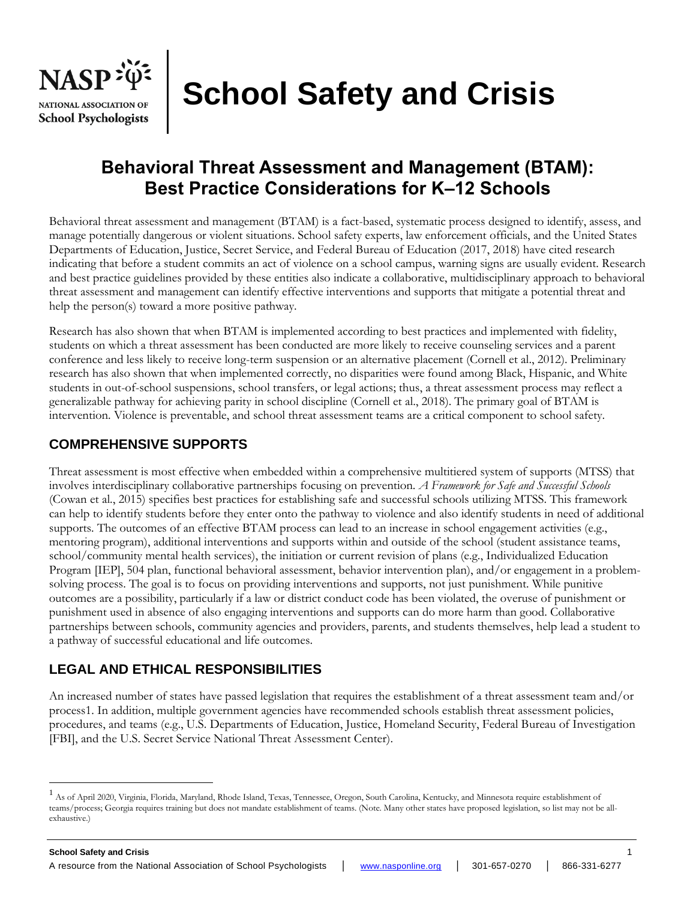

# **School Safety and Crisis**

# **Behavioral Threat Assessment and Management (BTAM): Best Practice Considerations for K–12 Schools**

Behavioral threat assessment and management (BTAM) is a fact-based, systematic process designed to identify, assess, and manage potentially dangerous or violent situations. School safety experts, law enforcement officials, and the United States Departments of Education, Justice, Secret Service, and Federal Bureau of Education (2017, 2018) have cited research indicating that before a student commits an act of violence on a school campus, warning signs are usually evident. Research and best practice guidelines provided by these entities also indicate a collaborative, multidisciplinary approach to behavioral threat assessment and management can identify effective interventions and supports that mitigate a potential threat and help the person(s) toward a more positive pathway.

Research has also shown that when BTAM is implemented according to best practices and implemented with fidelity, students on which a threat assessment has been conducted are more likely to receive counseling services and a parent conference and less likely to receive long-term suspension or an alternative placement (Cornell et al., 2012). Preliminary research has also shown that when implemented correctly, no disparities were found among Black, Hispanic, and White students in out-of-school suspensions, school transfers, or legal actions; thus, a threat assessment process may reflect a generalizable pathway for achieving parity in school discipline (Cornell et al., 2018). The primary goal of BTAM is intervention. Violence is preventable, and school threat assessment teams are a critical component to school safety.

# **COMPREHENSIVE SUPPORTS**

Threat assessment is most effective when embedded within a comprehensive multitiered system of supports (MTSS) that involves interdisciplinary collaborative partnerships focusing on prevention. *A Framework for Safe and Successful Schools*  (Cowan et al., 2015) specifies best practices for establishing safe and successful schools utilizing MTSS. This framework can help to identify students before they enter onto the pathway to violence and also identify students in need of additional supports. The outcomes of an effective BTAM process can lead to an increase in school engagement activities (e.g., mentoring program), additional interventions and supports within and outside of the school (student assistance teams, school/community mental health services), the initiation or current revision of plans (e.g., Individualized Education Program [IEP], 504 plan, functional behavioral assessment, behavior intervention plan), and/or engagement in a problemsolving process. The goal is to focus on providing interventions and supports, not just punishment. While punitive outcomes are a possibility, particularly if a law or district conduct code has been violated, the overuse of punishment or punishment used in absence of also engaging interventions and supports can do more harm than good. Collaborative partnerships between schools, community agencies and providers, parents, and students themselves, help lead a student to a pathway of successful educational and life outcomes.

# **LEGAL AND ETHICAL RESPONSIBILITIES**

An increased number of states have passed legislation that requires the establishment of a threat assessment team and/or process1. In addition, multiple government agencies have recommended schools establish threat assessment policies, procedures, and teams (e.g., U.S. Departments of Education, Justice, Homeland Security, Federal Bureau of Investigation [FBI], and the U.S. Secret Service National Threat Assessment Center).

<sup>1</sup> As of April 2020, Virginia, Florida, Maryland, Rhode Island, Texas, Tennessee, Oregon, South Carolina, Kentucky, and Minnesota require establishment of teams/process; Georgia requires training but does not mandate establishment of teams. (Note. Many other states have proposed legislation, so list may not be allexhaustive.)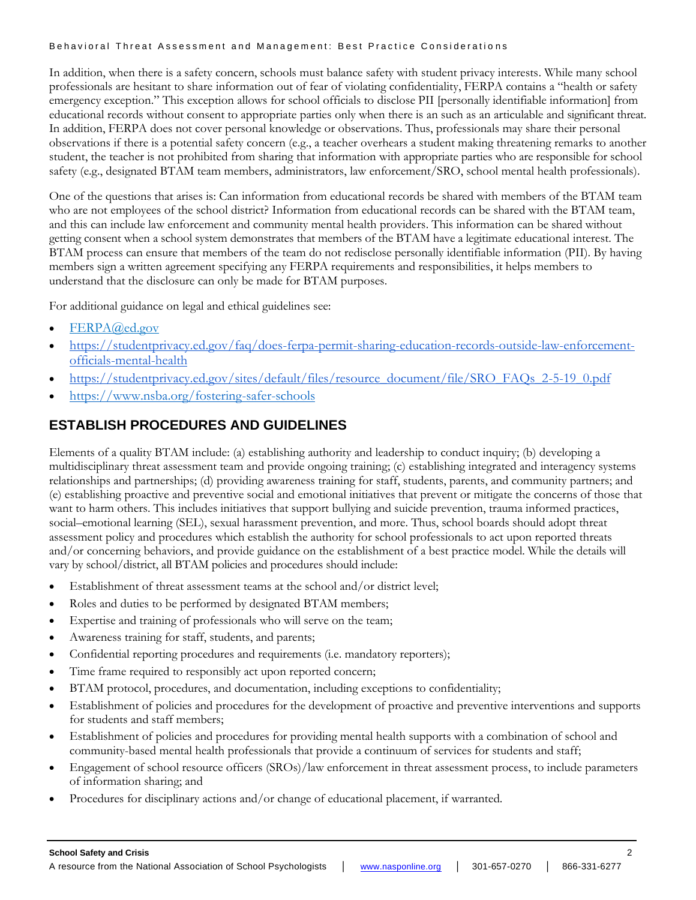In addition, when there is a safety concern, schools must balance safety with student privacy interests. While many school professionals are hesitant to share information out of fear of violating confidentiality, FERPA contains a "health or safety emergency exception." This exception allows for school officials to disclose PII [personally identifiable information] from educational records without consent to appropriate parties only when there is an such as an articulable and significant threat. In addition, FERPA does not cover personal knowledge or observations. Thus, professionals may share their personal observations if there is a potential safety concern (e.g., a teacher overhears a student making threatening remarks to another student, the teacher is not prohibited from sharing that information with appropriate parties who are responsible for school safety (e.g., designated BTAM team members, administrators, law enforcement/SRO, school mental health professionals).

One of the questions that arises is: Can information from educational records be shared with members of the BTAM team who are not employees of the school district? Information from educational records can be shared with the BTAM team, and this can include law enforcement and community mental health providers. This information can be shared without getting consent when a school system demonstrates that members of the BTAM have a legitimate educational interest. The BTAM process can ensure that members of the team do not redisclose personally identifiable information (PII). By having members sign a written agreement specifying any FERPA requirements and responsibilities, it helps members to understand that the disclosure can only be made for BTAM purposes.

For additional guidance on legal and ethical guidelines see:

- [FERPA@ed.gov](mailto:%20FERPA@ed.gov)
- [https://studentprivacy.ed.gov/faq/does-ferpa-permit-sharing-education-records-outside-law-enforcement](https://studentprivacy.ed.gov/faq/does-ferpa-permit-sharing-education-records-outside-law-enforcement-officials-mental-health)[officials-mental-health](https://studentprivacy.ed.gov/faq/does-ferpa-permit-sharing-education-records-outside-law-enforcement-officials-mental-health)
- [https://studentprivacy.ed.gov/sites/default/files/resource\\_document/file/SRO\\_FAQs\\_2-5-19\\_0.pdf](https://studentprivacy.ed.gov/sites/default/files/resource_document/file/SRO_FAQs_2-5-19_0.pdf)
- <https://www.nsba.org/fostering-safer-schools>

# **ESTABLISH PROCEDURES AND GUIDELINES**

Elements of a quality BTAM include: (a) establishing authority and leadership to conduct inquiry; (b) developing a multidisciplinary threat assessment team and provide ongoing training; (c) establishing integrated and interagency systems relationships and partnerships; (d) providing awareness training for staff, students, parents, and community partners; and (e) establishing proactive and preventive social and emotional initiatives that prevent or mitigate the concerns of those that want to harm others. This includes initiatives that support bullying and suicide prevention, trauma informed practices, social–emotional learning (SEL), sexual harassment prevention, and more. Thus, school boards should adopt threat assessment policy and procedures which establish the authority for school professionals to act upon reported threats and/or concerning behaviors, and provide guidance on the establishment of a best practice model. While the details will vary by school/district, all BTAM policies and procedures should include:

- Establishment of threat assessment teams at the school and/or district level;
- Roles and duties to be performed by designated BTAM members;
- Expertise and training of professionals who will serve on the team;
- Awareness training for staff, students, and parents;
- Confidential reporting procedures and requirements (i.e. mandatory reporters);
- Time frame required to responsibly act upon reported concern;
- BTAM protocol, procedures, and documentation, including exceptions to confidentiality;
- Establishment of policies and procedures for the development of proactive and preventive interventions and supports for students and staff members;
- Establishment of policies and procedures for providing mental health supports with a combination of school and community-based mental health professionals that provide a continuum of services for students and staff;
- Engagement of school resource officers (SROs)/law enforcement in threat assessment process, to include parameters of information sharing; and
- Procedures for disciplinary actions and/or change of educational placement, if warranted.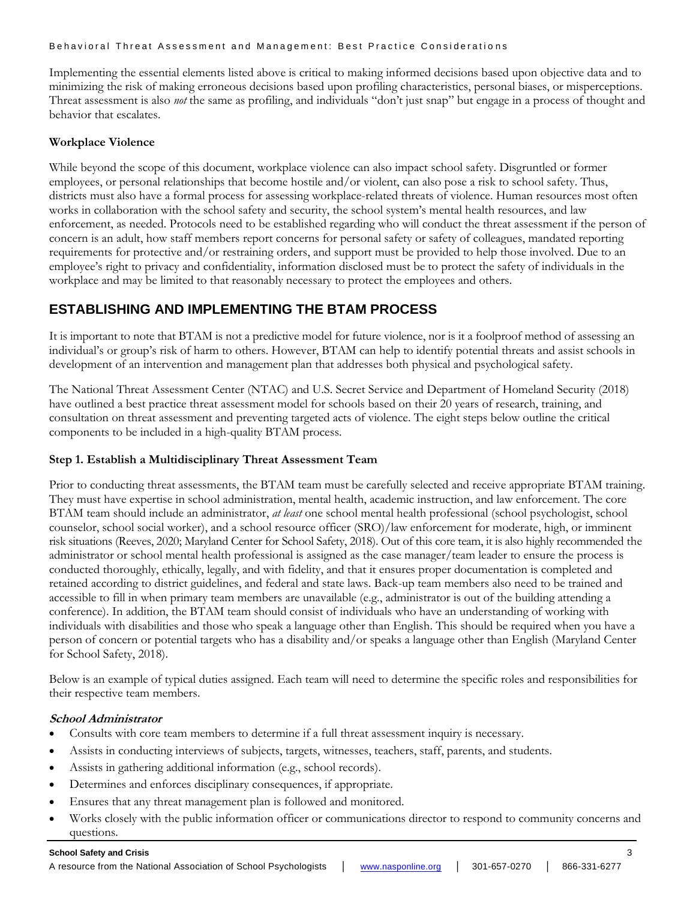Implementing the essential elements listed above is critical to making informed decisions based upon objective data and to minimizing the risk of making erroneous decisions based upon profiling characteristics, personal biases, or misperceptions. Threat assessment is also *not* the same as profiling, and individuals "don't just snap" but engage in a process of thought and behavior that escalates.

#### **Workplace Violence**

While beyond the scope of this document, workplace violence can also impact school safety. Disgruntled or former employees, or personal relationships that become hostile and/or violent, can also pose a risk to school safety. Thus, districts must also have a formal process for assessing workplace-related threats of violence. Human resources most often works in collaboration with the school safety and security, the school system's mental health resources, and law enforcement, as needed. Protocols need to be established regarding who will conduct the threat assessment if the person of concern is an adult, how staff members report concerns for personal safety or safety of colleagues, mandated reporting requirements for protective and/or restraining orders, and support must be provided to help those involved. Due to an employee's right to privacy and confidentiality, information disclosed must be to protect the safety of individuals in the workplace and may be limited to that reasonably necessary to protect the employees and others.

# **ESTABLISHING AND IMPLEMENTING THE BTAM PROCESS**

It is important to note that BTAM is not a predictive model for future violence, nor is it a foolproof method of assessing an individual's or group's risk of harm to others. However, BTAM can help to identify potential threats and assist schools in development of an intervention and management plan that addresses both physical and psychological safety.

The National Threat Assessment Center (NTAC) and U.S. Secret Service and Department of Homeland Security (2018) have outlined a best practice threat assessment model for schools based on their 20 years of research, training, and consultation on threat assessment and preventing targeted acts of violence. The eight steps below outline the critical components to be included in a high-quality BTAM process.

## **Step 1. Establish a Multidisciplinary Threat Assessment Team**

Prior to conducting threat assessments, the BTAM team must be carefully selected and receive appropriate BTAM training. They must have expertise in school administration, mental health, academic instruction, and law enforcement. The core BTAM team should include an administrator, *at least* one school mental health professional (school psychologist, school counselor, school social worker), and a school resource officer (SRO)/law enforcement for moderate, high, or imminent risk situations (Reeves, 2020; Maryland Center for School Safety, 2018). Out of this core team, it is also highly recommended the administrator or school mental health professional is assigned as the case manager/team leader to ensure the process is conducted thoroughly, ethically, legally, and with fidelity, and that it ensures proper documentation is completed and retained according to district guidelines, and federal and state laws. Back-up team members also need to be trained and accessible to fill in when primary team members are unavailable (e.g., administrator is out of the building attending a conference). In addition, the BTAM team should consist of individuals who have an understanding of working with individuals with disabilities and those who speak a language other than English. This should be required when you have a person of concern or potential targets who has a disability and/or speaks a language other than English (Maryland Center for School Safety, 2018).

Below is an example of typical duties assigned. Each team will need to determine the specific roles and responsibilities for their respective team members.

## **School Administrator**

- Consults with core team members to determine if a full threat assessment inquiry is necessary.
- Assists in conducting interviews of subjects, targets, witnesses, teachers, staff, parents, and students.
- Assists in gathering additional information (e.g., school records).
- Determines and enforces disciplinary consequences, if appropriate.
- Ensures that any threat management plan is followed and monitored.
- Works closely with the public information officer or communications director to respond to community concerns and questions.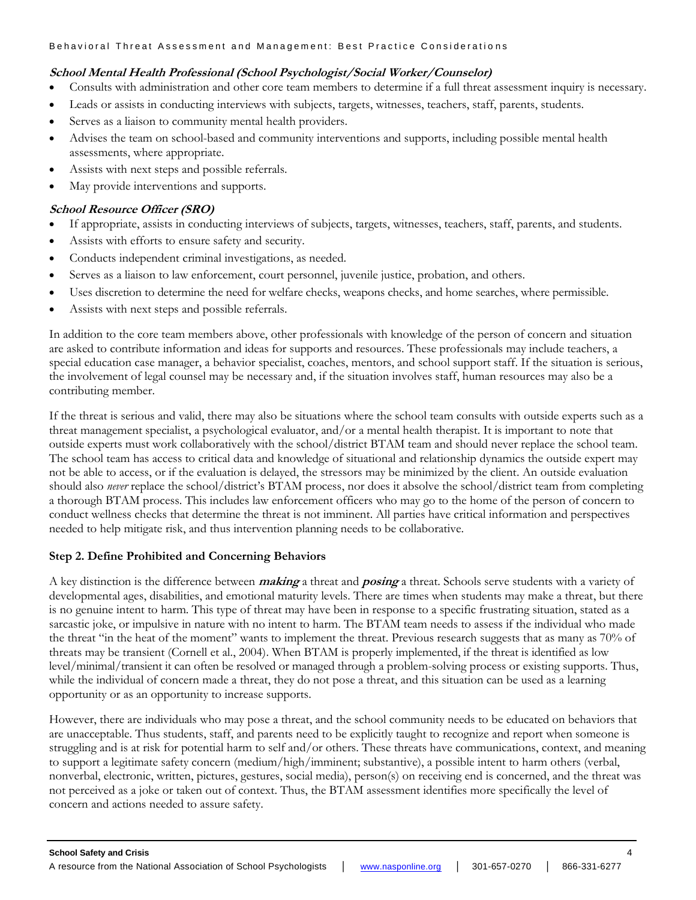## **School Mental Health Professional (School Psychologist/Social Worker/Counselor)**

- Consults with administration and other core team members to determine if a full threat assessment inquiry is necessary.
- Leads or assists in conducting interviews with subjects, targets, witnesses, teachers, staff, parents, students.
- Serves as a liaison to community mental health providers.
- Advises the team on school-based and community interventions and supports, including possible mental health assessments, where appropriate.
- Assists with next steps and possible referrals.
- May provide interventions and supports.

## **School Resource Officer (SRO)**

- If appropriate, assists in conducting interviews of subjects, targets, witnesses, teachers, staff, parents, and students.
- Assists with efforts to ensure safety and security.
- Conducts independent criminal investigations, as needed.
- Serves as a liaison to law enforcement, court personnel, juvenile justice, probation, and others.
- Uses discretion to determine the need for welfare checks, weapons checks, and home searches, where permissible.
- Assists with next steps and possible referrals.

In addition to the core team members above, other professionals with knowledge of the person of concern and situation are asked to contribute information and ideas for supports and resources. These professionals may include teachers, a special education case manager, a behavior specialist, coaches, mentors, and school support staff. If the situation is serious, the involvement of legal counsel may be necessary and, if the situation involves staff, human resources may also be a contributing member.

If the threat is serious and valid, there may also be situations where the school team consults with outside experts such as a threat management specialist, a psychological evaluator, and/or a mental health therapist. It is important to note that outside experts must work collaboratively with the school/district BTAM team and should never replace the school team. The school team has access to critical data and knowledge of situational and relationship dynamics the outside expert may not be able to access, or if the evaluation is delayed, the stressors may be minimized by the client. An outside evaluation should also *never* replace the school/district's BTAM process, nor does it absolve the school/district team from completing a thorough BTAM process. This includes law enforcement officers who may go to the home of the person of concern to conduct wellness checks that determine the threat is not imminent. All parties have critical information and perspectives needed to help mitigate risk, and thus intervention planning needs to be collaborative.

## **Step 2. Define Prohibited and Concerning Behaviors**

A key distinction is the difference between **making** a threat and **posing** a threat. Schools serve students with a variety of developmental ages, disabilities, and emotional maturity levels. There are times when students may make a threat, but there is no genuine intent to harm. This type of threat may have been in response to a specific frustrating situation, stated as a sarcastic joke, or impulsive in nature with no intent to harm. The BTAM team needs to assess if the individual who made the threat "in the heat of the moment" wants to implement the threat. Previous research suggests that as many as 70% of threats may be transient (Cornell et al., 2004). When BTAM is properly implemented, if the threat is identified as low level/minimal/transient it can often be resolved or managed through a problem-solving process or existing supports. Thus, while the individual of concern made a threat, they do not pose a threat, and this situation can be used as a learning opportunity or as an opportunity to increase supports.

However, there are individuals who may pose a threat, and the school community needs to be educated on behaviors that are unacceptable. Thus students, staff, and parents need to be explicitly taught to recognize and report when someone is struggling and is at risk for potential harm to self and/or others. These threats have communications, context, and meaning to support a legitimate safety concern (medium/high/imminent; substantive), a possible intent to harm others (verbal, nonverbal, electronic, written, pictures, gestures, social media), person(s) on receiving end is concerned, and the threat was not perceived as a joke or taken out of context. Thus, the BTAM assessment identifies more specifically the level of concern and actions needed to assure safety.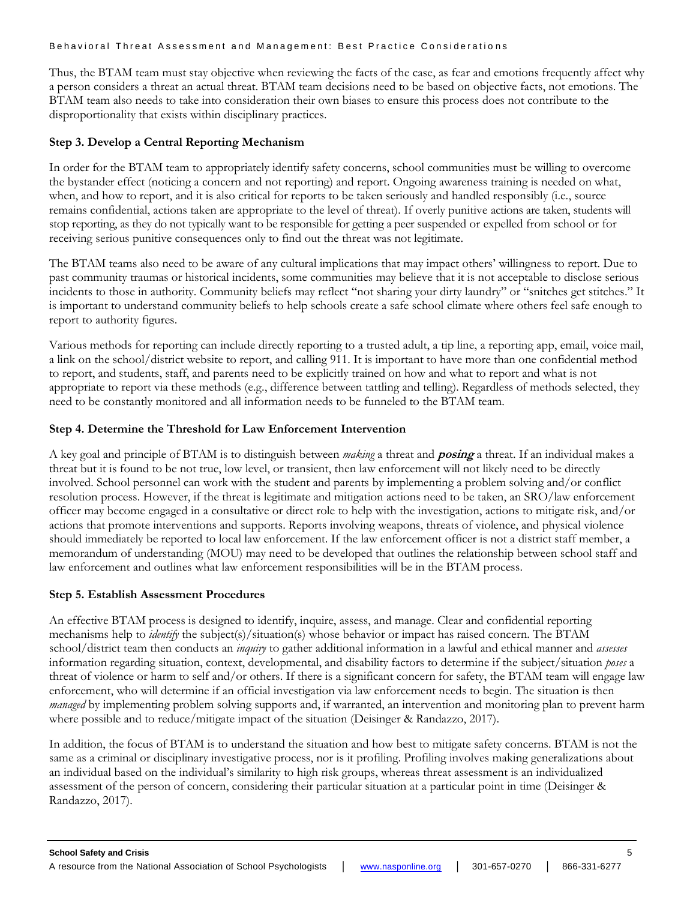Thus, the BTAM team must stay objective when reviewing the facts of the case, as fear and emotions frequently affect why a person considers a threat an actual threat. BTAM team decisions need to be based on objective facts, not emotions. The BTAM team also needs to take into consideration their own biases to ensure this process does not contribute to the disproportionality that exists within disciplinary practices.

#### **Step 3. Develop a Central Reporting Mechanism**

In order for the BTAM team to appropriately identify safety concerns, school communities must be willing to overcome the bystander effect (noticing a concern and not reporting) and report. Ongoing awareness training is needed on what, when, and how to report, and it is also critical for reports to be taken seriously and handled responsibly (i.e., source remains confidential, actions taken are appropriate to the level of threat). If overly punitive actions are taken, students will stop reporting, as they do not typically want to be responsible for getting a peer suspended or expelled from school or for receiving serious punitive consequences only to find out the threat was not legitimate.

The BTAM teams also need to be aware of any cultural implications that may impact others' willingness to report. Due to past community traumas or historical incidents, some communities may believe that it is not acceptable to disclose serious incidents to those in authority. Community beliefs may reflect "not sharing your dirty laundry" or "snitches get stitches." It is important to understand community beliefs to help schools create a safe school climate where others feel safe enough to report to authority figures.

Various methods for reporting can include directly reporting to a trusted adult, a tip line, a reporting app, email, voice mail, a link on the school/district website to report, and calling 911. It is important to have more than one confidential method to report, and students, staff, and parents need to be explicitly trained on how and what to report and what is not appropriate to report via these methods (e.g., difference between tattling and telling). Regardless of methods selected, they need to be constantly monitored and all information needs to be funneled to the BTAM team.

## **Step 4. Determine the Threshold for Law Enforcement Intervention**

A key goal and principle of BTAM is to distinguish between *making* a threat and **posing** a threat. If an individual makes a threat but it is found to be not true, low level, or transient, then law enforcement will not likely need to be directly involved. School personnel can work with the student and parents by implementing a problem solving and/or conflict resolution process. However, if the threat is legitimate and mitigation actions need to be taken, an SRO/law enforcement officer may become engaged in a consultative or direct role to help with the investigation, actions to mitigate risk, and/or actions that promote interventions and supports. Reports involving weapons, threats of violence, and physical violence should immediately be reported to local law enforcement. If the law enforcement officer is not a district staff member, a memorandum of understanding (MOU) may need to be developed that outlines the relationship between school staff and law enforcement and outlines what law enforcement responsibilities will be in the BTAM process.

## **Step 5. Establish Assessment Procedures**

An effective BTAM process is designed to identify, inquire, assess, and manage. Clear and confidential reporting mechanisms help to *identify* the subject(s)/situation(s) whose behavior or impact has raised concern. The BTAM school/district team then conducts an *inquiry* to gather additional information in a lawful and ethical manner and *assesses* information regarding situation, context, developmental, and disability factors to determine if the subject/situation *poses* a threat of violence or harm to self and/or others. If there is a significant concern for safety, the BTAM team will engage law enforcement, who will determine if an official investigation via law enforcement needs to begin. The situation is then *managed* by implementing problem solving supports and, if warranted, an intervention and monitoring plan to prevent harm where possible and to reduce/mitigate impact of the situation (Deisinger & Randazzo, 2017).

In addition, the focus of BTAM is to understand the situation and how best to mitigate safety concerns. BTAM is not the same as a criminal or disciplinary investigative process, nor is it profiling. Profiling involves making generalizations about an individual based on the individual's similarity to high risk groups, whereas threat assessment is an individualized assessment of the person of concern, considering their particular situation at a particular point in time (Deisinger & Randazzo, 2017).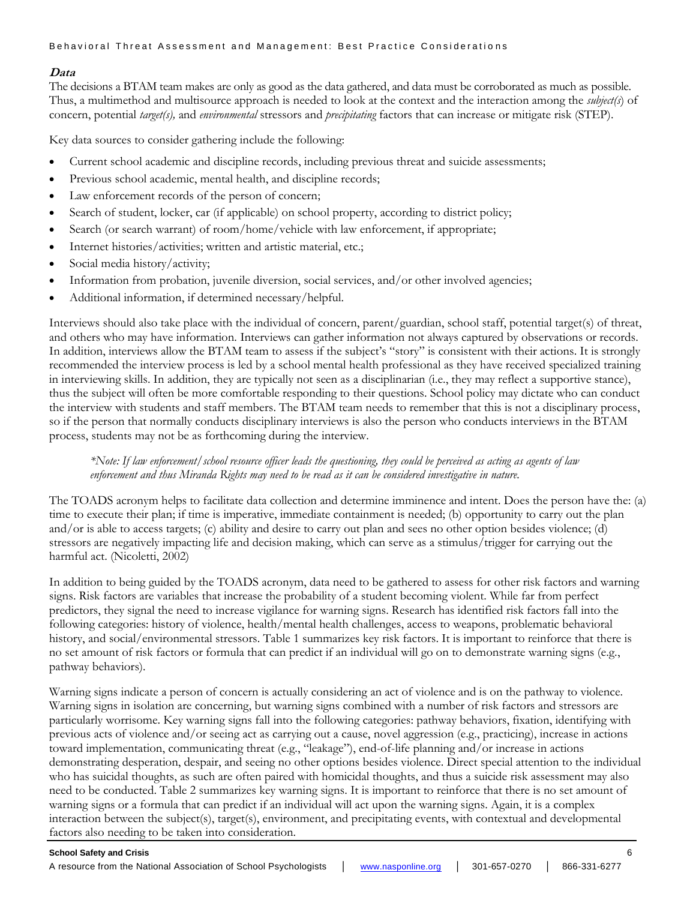## **Data**

The decisions a BTAM team makes are only as good as the data gathered, and data must be corroborated as much as possible. Thus, a multimethod and multisource approach is needed to look at the context and the interaction among the *subject(s*) of concern, potential *target(s),* and *environmental* stressors and *precipitating* factors that can increase or mitigate risk (STEP).

Key data sources to consider gathering include the following:

- Current school academic and discipline records, including previous threat and suicide assessments;
- Previous school academic, mental health, and discipline records;
- Law enforcement records of the person of concern;
- Search of student, locker, car (if applicable) on school property, according to district policy;
- Search (or search warrant) of room/home/vehicle with law enforcement, if appropriate;
- Internet histories/activities; written and artistic material, etc.;
- Social media history/activity;
- Information from probation, juvenile diversion, social services, and/or other involved agencies;
- Additional information, if determined necessary/helpful.

Interviews should also take place with the individual of concern, parent/guardian, school staff, potential target(s) of threat, and others who may have information. Interviews can gather information not always captured by observations or records. In addition, interviews allow the BTAM team to assess if the subject's "story" is consistent with their actions. It is strongly recommended the interview process is led by a school mental health professional as they have received specialized training in interviewing skills. In addition, they are typically not seen as a disciplinarian (i.e., they may reflect a supportive stance), thus the subject will often be more comfortable responding to their questions. School policy may dictate who can conduct the interview with students and staff members. The BTAM team needs to remember that this is not a disciplinary process, so if the person that normally conducts disciplinary interviews is also the person who conducts interviews in the BTAM process, students may not be as forthcoming during the interview.

#### *\*Note: If law enforcement/school resource officer leads the questioning, they could be perceived as acting as agents of law enforcement and thus Miranda Rights may need to be read as it can be considered investigative in nature.*

The TOADS acronym helps to facilitate data collection and determine imminence and intent. Does the person have the: (a) time to execute their plan; if time is imperative, immediate containment is needed; (b) opportunity to carry out the plan and/or is able to access targets; (c) ability and desire to carry out plan and sees no other option besides violence; (d) stressors are negatively impacting life and decision making, which can serve as a stimulus/trigger for carrying out the harmful act. (Nicoletti, 2002)

In addition to being guided by the TOADS acronym, data need to be gathered to assess for other risk factors and warning signs. Risk factors are variables that increase the probability of a student becoming violent. While far from perfect predictors, they signal the need to increase vigilance for warning signs. Research has identified risk factors fall into the following categories: history of violence, health/mental health challenges, access to weapons, problematic behavioral history, and social/environmental stressors. Table 1 summarizes key risk factors. It is important to reinforce that there is no set amount of risk factors or formula that can predict if an individual will go on to demonstrate warning signs (e.g., pathway behaviors).

Warning signs indicate a person of concern is actually considering an act of violence and is on the pathway to violence. Warning signs in isolation are concerning, but warning signs combined with a number of risk factors and stressors are particularly worrisome. Key warning signs fall into the following categories: pathway behaviors, fixation, identifying with previous acts of violence and/or seeing act as carrying out a cause, novel aggression (e.g., practicing), increase in actions toward implementation, communicating threat (e.g., "leakage"), end-of-life planning and/or increase in actions demonstrating desperation, despair, and seeing no other options besides violence. Direct special attention to the individual who has suicidal thoughts, as such are often paired with homicidal thoughts, and thus a suicide risk assessment may also need to be conducted. Table 2 summarizes key warning signs. It is important to reinforce that there is no set amount of warning signs or a formula that can predict if an individual will act upon the warning signs. Again, it is a complex interaction between the subject(s), target(s), environment, and precipitating events, with contextual and developmental factors also needing to be taken into consideration.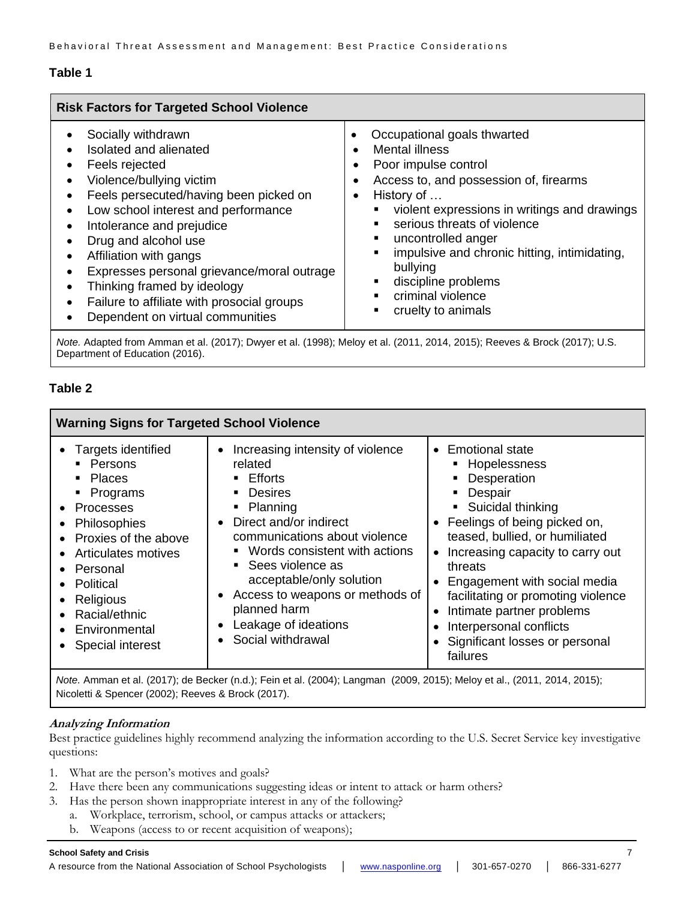## **Table 1**

| <b>Risk Factors for Targeted School Violence</b>                                                                                                                                                                                                                                                                                                                                                                          |                                                                                                                                                                                                                                                                                                                                                                                                     |  |  |  |  |
|---------------------------------------------------------------------------------------------------------------------------------------------------------------------------------------------------------------------------------------------------------------------------------------------------------------------------------------------------------------------------------------------------------------------------|-----------------------------------------------------------------------------------------------------------------------------------------------------------------------------------------------------------------------------------------------------------------------------------------------------------------------------------------------------------------------------------------------------|--|--|--|--|
| Socially withdrawn<br>Isolated and alienated<br>Feels rejected<br>Violence/bullying victim<br>Feels persecuted/having been picked on<br>Low school interest and performance<br>Intolerance and prejudice<br>Drug and alcohol use<br>Affiliation with gangs<br>Expresses personal grievance/moral outrage<br>Thinking framed by ideology<br>Failure to affiliate with prosocial groups<br>Dependent on virtual communities | Occupational goals thwarted<br><b>Mental illness</b><br>$\bullet$<br>Poor impulse control<br>٠<br>Access to, and possession of, firearms<br>٠<br>History of<br>٠<br>violent expressions in writings and drawings<br>serious threats of violence<br>uncontrolled anger<br>impulsive and chronic hitting, intimidating,<br>bullying<br>discipline problems<br>criminal violence<br>cruelty to animals |  |  |  |  |
|                                                                                                                                                                                                                                                                                                                                                                                                                           | $M_{obs}$ , $M_{coul}$ , $M_{coul}$ , $M_{coul}$ , $M_{coul}$ , $M_{coul}$ , $M_{coul}$ , $M_{coul}$ , $M_{coul}$ , $M_{coul}$ , $M_{coul}$ , $M_{coul}$ , $M_{coul}$ , $M_{coul}$ , $M_{coul}$ , $M_{coul}$ , $M_{coul}$ , $M_{coul}$ , $M_{coul}$ , $M_{coul}$ , $M_{coul}$ , $M_{coul}$ , $M_{coul}$ , $M_{coul}$ , $M_{coul}$                                                                   |  |  |  |  |

*Note.* Adapted from Amman et al. (2017); Dwyer et al. (1998); Meloy et al. (2011, 2014, 2015); Reeves & Brock (2017); U.S. Department of Education (2016).

## **Table 2**

| <b>Warning Signs for Targeted School Violence</b>                                                                                                                                                                                                                                                                                                    |                                                                                                                                                                                                                                                                                                                                                                                                                                        |                                                                                                                                                                                                                                                                                                                                                                                                                      |  |  |
|------------------------------------------------------------------------------------------------------------------------------------------------------------------------------------------------------------------------------------------------------------------------------------------------------------------------------------------------------|----------------------------------------------------------------------------------------------------------------------------------------------------------------------------------------------------------------------------------------------------------------------------------------------------------------------------------------------------------------------------------------------------------------------------------------|----------------------------------------------------------------------------------------------------------------------------------------------------------------------------------------------------------------------------------------------------------------------------------------------------------------------------------------------------------------------------------------------------------------------|--|--|
| Targets identified<br>• Persons<br><b>Places</b><br>$\blacksquare$<br>• Programs<br><b>Processes</b><br>$\bullet$<br>Philosophies<br>$\bullet$<br>Proxies of the above<br><b>Articulates motives</b><br>Personal<br>$\bullet$<br>Political<br>$\bullet$<br>Religious<br>$\bullet$<br>Racial/ethnic<br>Environmental<br>$\bullet$<br>Special interest | Increasing intensity of violence<br>$\bullet$<br>related<br>Efforts<br>$\blacksquare$<br><b>Desires</b><br>٠<br>• Planning<br>Direct and/or indirect<br>$\bullet$<br>communications about violence<br>Words consistent with actions<br>$\blacksquare$<br>• Sees violence as<br>acceptable/only solution<br>Access to weapons or methods of<br>$\bullet$<br>planned harm<br>Leakage of ideations<br>٠<br>Social withdrawal<br>$\bullet$ | $\bullet$ Emotional state<br>Hopelessness<br>Desperation<br>Despair<br>Suicidal thinking<br>Feelings of being picked on,<br>teased, bullied, or humiliated<br>Increasing capacity to carry out<br>$\bullet$<br>threats<br>Engagement with social media<br>$\bullet$<br>facilitating or promoting violence<br>Intimate partner problems<br>٠<br>Interpersonal conflicts<br>Significant losses or personal<br>failures |  |  |
|                                                                                                                                                                                                                                                                                                                                                      |                                                                                                                                                                                                                                                                                                                                                                                                                                        |                                                                                                                                                                                                                                                                                                                                                                                                                      |  |  |

*Note.* Amman et al. (2017); de Becker (n.d.); Fein et al. (2004); Langman (2009, 2015); Meloy et al., (2011, 2014, 2015); Nicoletti & Spencer (2002); Reeves & Brock (2017).

## **Analyzing Information**

Best practice guidelines highly recommend analyzing the information according to the U.S. Secret Service key investigative questions:

- 1. What are the person's motives and goals?
- 2. Have there been any communications suggesting ideas or intent to attack or harm others?
- 3. Has the person shown inappropriate interest in any of the following?
	- a. Workplace, terrorism, school, or campus attacks or attackers;
		- b. Weapons (access to or recent acquisition of weapons);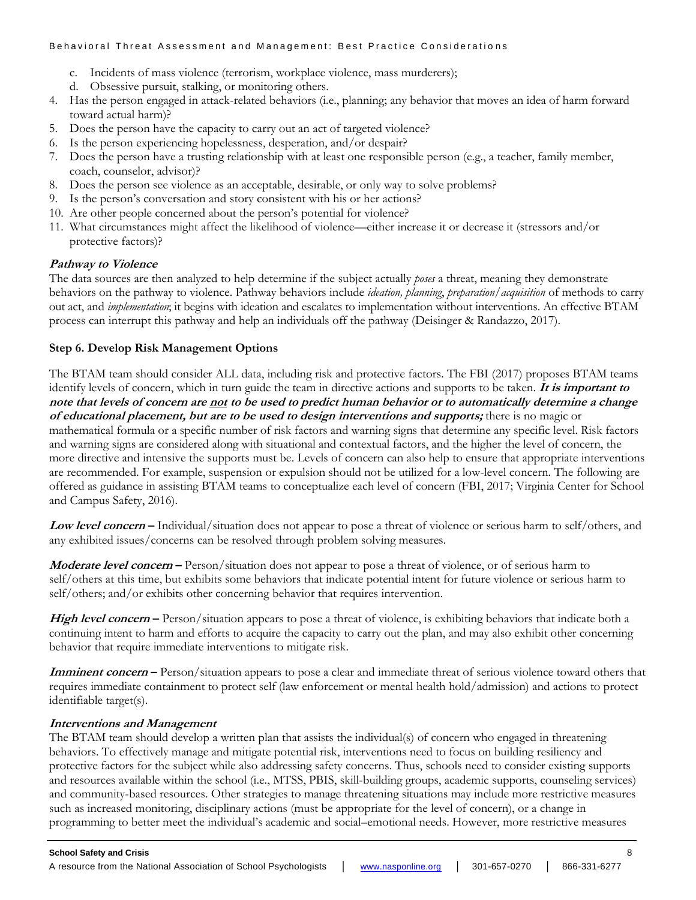- c. Incidents of mass violence (terrorism, workplace violence, mass murderers);
- d. Obsessive pursuit, stalking, or monitoring others.
- 4. Has the person engaged in attack-related behaviors (i.e., planning; any behavior that moves an idea of harm forward toward actual harm)?
- 5. Does the person have the capacity to carry out an act of targeted violence?
- 6. Is the person experiencing hopelessness, desperation, and/or despair?
- 7. Does the person have a trusting relationship with at least one responsible person (e.g., a teacher, family member, coach, counselor, advisor)?
- 8. Does the person see violence as an acceptable, desirable, or only way to solve problems?
- 9. Is the person's conversation and story consistent with his or her actions?
- 10. Are other people concerned about the person's potential for violence?
- 11. What circumstances might affect the likelihood of violence—either increase it or decrease it (stressors and/or protective factors)?

## **Pathway to Violence**

The data sources are then analyzed to help determine if the subject actually *poses* a threat, meaning they demonstrate behaviors on the pathway to violence. Pathway behaviors include *ideation, planning*, *preparation/acquisition* of methods to carry out act, and *implementation*; it begins with ideation and escalates to implementation without interventions. An effective BTAM process can interrupt this pathway and help an individuals off the pathway (Deisinger & Randazzo, 2017).

## **Step 6. Develop Risk Management Options**

The BTAM team should consider ALL data, including risk and protective factors. The FBI (2017) proposes BTAM teams identify levels of concern, which in turn guide the team in directive actions and supports to be taken. **It is important to note that levels of concern are not to be used to predict human behavior or to automatically determine a change of educational placement, but are to be used to design interventions and supports;** there is no magic or mathematical formula or a specific number of risk factors and warning signs that determine any specific level. Risk factors and warning signs are considered along with situational and contextual factors, and the higher the level of concern, the more directive and intensive the supports must be. Levels of concern can also help to ensure that appropriate interventions are recommended. For example, suspension or expulsion should not be utilized for a low-level concern. The following are offered as guidance in assisting BTAM teams to conceptualize each level of concern (FBI, 2017; Virginia Center for School and Campus Safety, 2016).

**Low level concern –** Individual/situation does not appear to pose a threat of violence or serious harm to self/others, and any exhibited issues/concerns can be resolved through problem solving measures.

**Moderate level concern –** Person/situation does not appear to pose a threat of violence, or of serious harm to self/others at this time, but exhibits some behaviors that indicate potential intent for future violence or serious harm to self/others; and/or exhibits other concerning behavior that requires intervention.

High level concern – Person/situation appears to pose a threat of violence, is exhibiting behaviors that indicate both a continuing intent to harm and efforts to acquire the capacity to carry out the plan, and may also exhibit other concerning behavior that require immediate interventions to mitigate risk.

**Imminent concern** – Person/situation appears to pose a clear and immediate threat of serious violence toward others that requires immediate containment to protect self (law enforcement or mental health hold/admission) and actions to protect identifiable target(s).

## **Interventions and Management**

The BTAM team should develop a written plan that assists the individual(s) of concern who engaged in threatening behaviors. To effectively manage and mitigate potential risk, interventions need to focus on building resiliency and protective factors for the subject while also addressing safety concerns. Thus, schools need to consider existing supports and resources available within the school (i.e., MTSS, PBIS, skill-building groups, academic supports, counseling services) and community-based resources. Other strategies to manage threatening situations may include more restrictive measures such as increased monitoring, disciplinary actions (must be appropriate for the level of concern), or a change in programming to better meet the individual's academic and social–emotional needs. However, more restrictive measures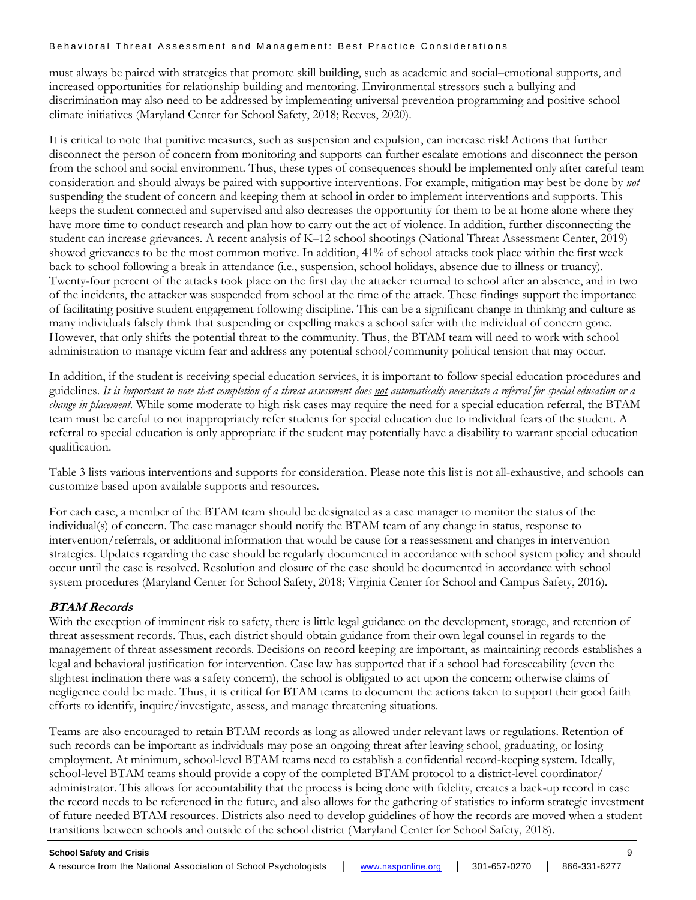must always be paired with strategies that promote skill building, such as academic and social–emotional supports, and increased opportunities for relationship building and mentoring. Environmental stressors such a bullying and discrimination may also need to be addressed by implementing universal prevention programming and positive school climate initiatives (Maryland Center for School Safety, 2018; Reeves, 2020).

It is critical to note that punitive measures, such as suspension and expulsion, can increase risk! Actions that further disconnect the person of concern from monitoring and supports can further escalate emotions and disconnect the person from the school and social environment. Thus, these types of consequences should be implemented only after careful team consideration and should always be paired with supportive interventions. For example, mitigation may best be done by *not*  suspending the student of concern and keeping them at school in order to implement interventions and supports. This keeps the student connected and supervised and also decreases the opportunity for them to be at home alone where they have more time to conduct research and plan how to carry out the act of violence. In addition, further disconnecting the student can increase grievances. A recent analysis of K–12 school shootings (National Threat Assessment Center, 2019) showed grievances to be the most common motive. In addition, 41% of school attacks took place within the first week back to school following a break in attendance (i.e., suspension, school holidays, absence due to illness or truancy). Twenty-four percent of the attacks took place on the first day the attacker returned to school after an absence, and in two of the incidents, the attacker was suspended from school at the time of the attack. These findings support the importance of facilitating positive student engagement following discipline. This can be a significant change in thinking and culture as many individuals falsely think that suspending or expelling makes a school safer with the individual of concern gone. However, that only shifts the potential threat to the community. Thus, the BTAM team will need to work with school administration to manage victim fear and address any potential school/community political tension that may occur.

In addition, if the student is receiving special education services, it is important to follow special education procedures and guidelines. *It is important to note that completion of a threat assessment does not automatically necessitate a referral for special education or a change in placement*. While some moderate to high risk cases may require the need for a special education referral, the BTAM team must be careful to not inappropriately refer students for special education due to individual fears of the student. A referral to special education is only appropriate if the student may potentially have a disability to warrant special education qualification.

Table 3 lists various interventions and supports for consideration. Please note this list is not all-exhaustive, and schools can customize based upon available supports and resources.

For each case, a member of the BTAM team should be designated as a case manager to monitor the status of the individual(s) of concern. The case manager should notify the BTAM team of any change in status, response to intervention/referrals, or additional information that would be cause for a reassessment and changes in intervention strategies. Updates regarding the case should be regularly documented in accordance with school system policy and should occur until the case is resolved. Resolution and closure of the case should be documented in accordance with school system procedures (Maryland Center for School Safety, 2018; Virginia Center for School and Campus Safety, 2016).

## **BTAM Records**

With the exception of imminent risk to safety, there is little legal guidance on the development, storage, and retention of threat assessment records. Thus, each district should obtain guidance from their own legal counsel in regards to the management of threat assessment records. Decisions on record keeping are important, as maintaining records establishes a legal and behavioral justification for intervention. Case law has supported that if a school had foreseeability (even the slightest inclination there was a safety concern), the school is obligated to act upon the concern; otherwise claims of negligence could be made. Thus, it is critical for BTAM teams to document the actions taken to support their good faith efforts to identify, inquire/investigate, assess, and manage threatening situations.

Teams are also encouraged to retain BTAM records as long as allowed under relevant laws or regulations. Retention of such records can be important as individuals may pose an ongoing threat after leaving school, graduating, or losing employment. At minimum, school-level BTAM teams need to establish a confidential record-keeping system. Ideally, school-level BTAM teams should provide a copy of the completed BTAM protocol to a district-level coordinator/ administrator. This allows for accountability that the process is being done with fidelity, creates a back-up record in case the record needs to be referenced in the future, and also allows for the gathering of statistics to inform strategic investment of future needed BTAM resources. Districts also need to develop guidelines of how the records are moved when a student transitions between schools and outside of the school district (Maryland Center for School Safety, 2018).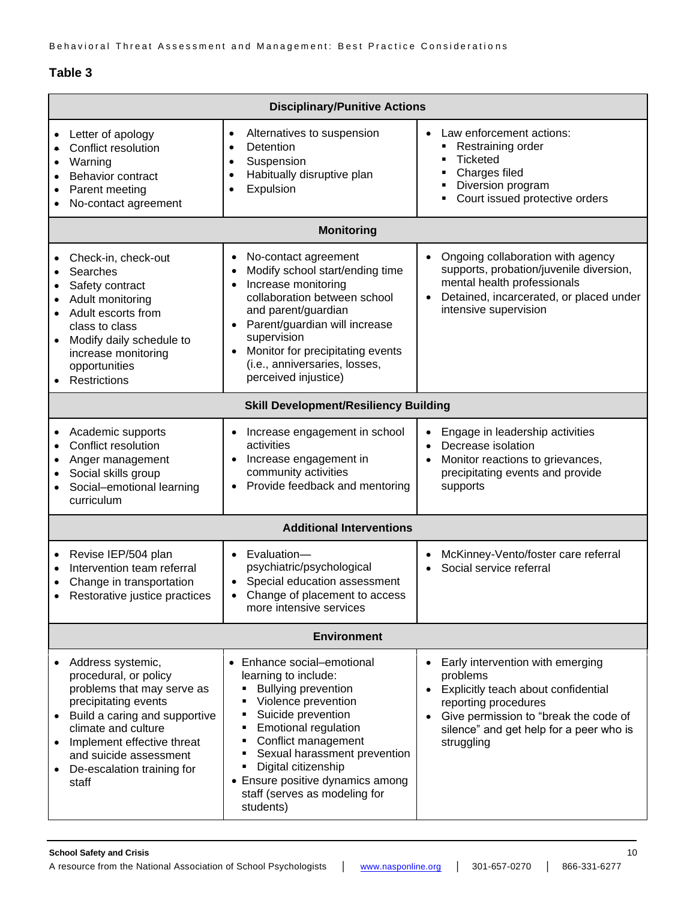## **Table 3**

| <b>Disciplinary/Punitive Actions</b>         |                                                                                                                                                                                                                                                         |                                                                                                                                                                                                                                                                                                                                             |                                                                                                                                                                                                               |  |
|----------------------------------------------|---------------------------------------------------------------------------------------------------------------------------------------------------------------------------------------------------------------------------------------------------------|---------------------------------------------------------------------------------------------------------------------------------------------------------------------------------------------------------------------------------------------------------------------------------------------------------------------------------------------|---------------------------------------------------------------------------------------------------------------------------------------------------------------------------------------------------------------|--|
| $\bullet$<br>$\bullet$                       | Letter of apology<br>Conflict resolution<br>Warning<br>Behavior contract<br>Parent meeting<br>No-contact agreement                                                                                                                                      | Alternatives to suspension<br>$\bullet$<br>Detention<br>$\bullet$<br>Suspension<br>$\bullet$<br>Habitually disruptive plan<br>$\bullet$<br>Expulsion<br>$\bullet$                                                                                                                                                                           | Law enforcement actions:<br>Restraining order<br><b>Ticketed</b><br>Charges filed<br>Diversion program<br>Court issued protective orders<br>٠                                                                 |  |
| <b>Monitoring</b>                            |                                                                                                                                                                                                                                                         |                                                                                                                                                                                                                                                                                                                                             |                                                                                                                                                                                                               |  |
| $\bullet$<br>$\bullet$                       | Check-in, check-out<br>Searches<br>Safety contract<br>Adult monitoring<br>Adult escorts from<br>class to class<br>Modify daily schedule to<br>increase monitoring<br>opportunities<br>Restrictions                                                      | No-contact agreement<br>$\bullet$<br>Modify school start/ending time<br>Increase monitoring<br>collaboration between school<br>and parent/guardian<br>Parent/guardian will increase<br>supervision<br>Monitor for precipitating events<br>(i.e., anniversaries, losses,<br>perceived injustice)                                             | Ongoing collaboration with agency<br>$\bullet$<br>supports, probation/juvenile diversion,<br>mental health professionals<br>Detained, incarcerated, or placed under<br>intensive supervision                  |  |
| <b>Skill Development/Resiliency Building</b> |                                                                                                                                                                                                                                                         |                                                                                                                                                                                                                                                                                                                                             |                                                                                                                                                                                                               |  |
|                                              | Academic supports<br>Conflict resolution<br>Anger management<br>Social skills group<br>Social-emotional learning<br>curriculum                                                                                                                          | Increase engagement in school<br>activities<br>Increase engagement in<br>community activities<br>Provide feedback and mentoring                                                                                                                                                                                                             | Engage in leadership activities<br>Decrease isolation<br>$\bullet$<br>Monitor reactions to grievances,<br>precipitating events and provide<br>supports                                                        |  |
| <b>Additional Interventions</b>              |                                                                                                                                                                                                                                                         |                                                                                                                                                                                                                                                                                                                                             |                                                                                                                                                                                                               |  |
| $\bullet$<br>٠                               | Revise IEP/504 plan<br>Intervention team referral<br>Change in transportation<br>Restorative justice practices                                                                                                                                          | Evaluation-<br>psychiatric/psychological<br>Special education assessment<br>Change of placement to access<br>$\bullet$<br>more intensive services                                                                                                                                                                                           | McKinney-Vento/foster care referral<br>Social service referral                                                                                                                                                |  |
| <b>Environment</b>                           |                                                                                                                                                                                                                                                         |                                                                                                                                                                                                                                                                                                                                             |                                                                                                                                                                                                               |  |
|                                              | Address systemic,<br>procedural, or policy<br>problems that may serve as<br>precipitating events<br>Build a caring and supportive<br>climate and culture<br>Implement effective threat<br>and suicide assessment<br>De-escalation training for<br>staff | • Enhance social-emotional<br>learning to include:<br><b>Bullying prevention</b><br>Violence prevention<br>٠<br>Suicide prevention<br><b>Emotional regulation</b><br>٠<br>Conflict management<br>٠<br>Sexual harassment prevention<br>Digital citizenship<br>• Ensure positive dynamics among<br>staff (serves as modeling for<br>students) | Early intervention with emerging<br>problems<br>Explicitly teach about confidential<br>reporting procedures<br>Give permission to "break the code of<br>silence" and get help for a peer who is<br>struggling |  |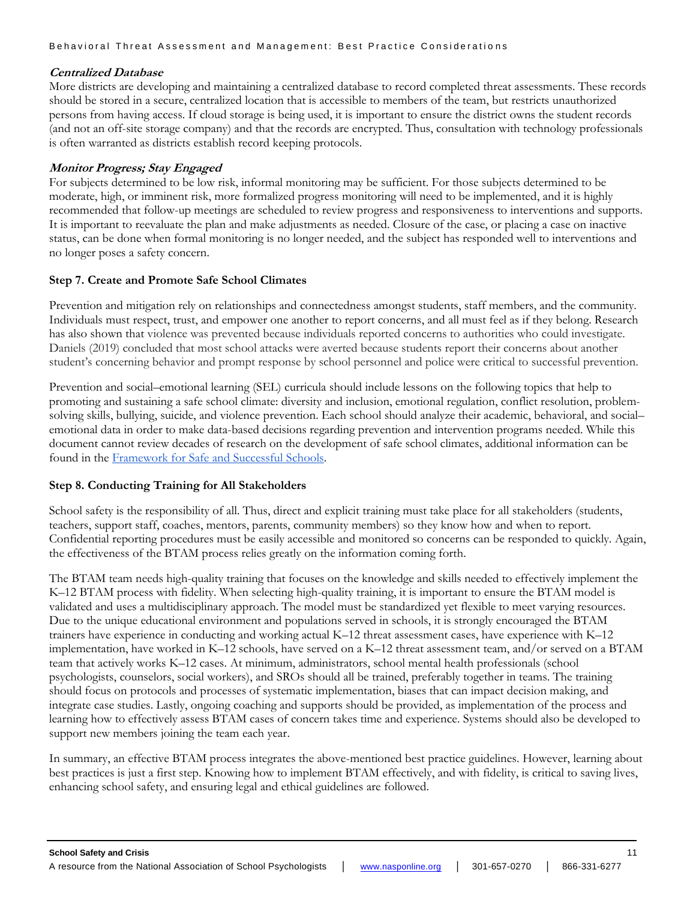## **Centralized Database**

More districts are developing and maintaining a centralized database to record completed threat assessments. These records should be stored in a secure, centralized location that is accessible to members of the team, but restricts unauthorized persons from having access. If cloud storage is being used, it is important to ensure the district owns the student records (and not an off-site storage company) and that the records are encrypted. Thus, consultation with technology professionals is often warranted as districts establish record keeping protocols.

## **Monitor Progress; Stay Engaged**

For subjects determined to be low risk, informal monitoring may be sufficient. For those subjects determined to be moderate, high, or imminent risk, more formalized progress monitoring will need to be implemented, and it is highly recommended that follow-up meetings are scheduled to review progress and responsiveness to interventions and supports. It is important to reevaluate the plan and make adjustments as needed. Closure of the case, or placing a case on inactive status, can be done when formal monitoring is no longer needed, and the subject has responded well to interventions and no longer poses a safety concern.

## **Step 7. Create and Promote Safe School Climates**

Prevention and mitigation rely on relationships and connectedness amongst students, staff members, and the community. Individuals must respect, trust, and empower one another to report concerns, and all must feel as if they belong. Research has also shown that violence was prevented because individuals reported concerns to authorities who could investigate. Daniels (2019) concluded that most school attacks were averted because students report their concerns about another student's concerning behavior and prompt response by school personnel and police were critical to successful prevention.

Prevention and social–emotional learning (SEL) curricula should include lessons on the following topics that help to promoting and sustaining a safe school climate: diversity and inclusion, emotional regulation, conflict resolution, problemsolving skills, bullying, suicide, and violence prevention. Each school should analyze their academic, behavioral, and social– emotional data in order to make data-based decisions regarding prevention and intervention programs needed. While this document cannot review decades of research on the development of safe school climates, additional information can be found in the [Framework for Safe and Successful Schools.](https://www.nasponline.org/resources-and-publications/resources-and-podcasts/school-climate-safety-and-crisis/systems-level-prevention/a-framework-for-safe-and-successful-schools)

## **Step 8. Conducting Training for All Stakeholders**

School safety is the responsibility of all. Thus, direct and explicit training must take place for all stakeholders (students, teachers, support staff, coaches, mentors, parents, community members) so they know how and when to report. Confidential reporting procedures must be easily accessible and monitored so concerns can be responded to quickly. Again, the effectiveness of the BTAM process relies greatly on the information coming forth.

The BTAM team needs high-quality training that focuses on the knowledge and skills needed to effectively implement the K–12 BTAM process with fidelity. When selecting high-quality training, it is important to ensure the BTAM model is validated and uses a multidisciplinary approach. The model must be standardized yet flexible to meet varying resources. Due to the unique educational environment and populations served in schools, it is strongly encouraged the BTAM trainers have experience in conducting and working actual K–12 threat assessment cases, have experience with K–12 implementation, have worked in K–12 schools, have served on a K–12 threat assessment team, and/or served on a BTAM team that actively works K–12 cases. At minimum, administrators, school mental health professionals (school psychologists, counselors, social workers), and SROs should all be trained, preferably together in teams. The training should focus on protocols and processes of systematic implementation, biases that can impact decision making, and integrate case studies. Lastly, ongoing coaching and supports should be provided, as implementation of the process and learning how to effectively assess BTAM cases of concern takes time and experience. Systems should also be developed to support new members joining the team each year.

In summary, an effective BTAM process integrates the above-mentioned best practice guidelines. However, learning about best practices is just a first step. Knowing how to implement BTAM effectively, and with fidelity, is critical to saving lives, enhancing school safety, and ensuring legal and ethical guidelines are followed.

A resource from the National Association of School Psychologists │ [www.nasponline.org](http://www.nasponline.org/) │ 301-657-0270 │ 866-331-6277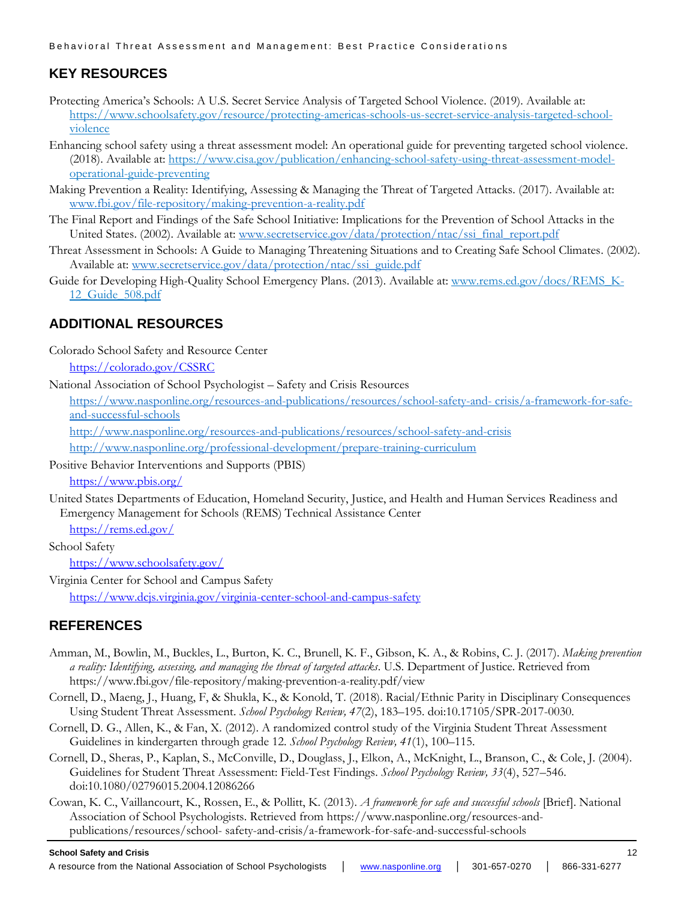# **KEY RESOURCES**

- Protecting America's Schools: A U.S. Secret Service Analysis of Targeted School Violence. (2019). Available at: [https://www.schoolsafety.gov/resource/protecting-americas-schools-us-secret-service-analysis-targeted-school](https://www.schoolsafety.gov/resource/protecting-americas-schools-us-secret-service-analysis-targeted-school-violence)[violence](https://www.schoolsafety.gov/resource/protecting-americas-schools-us-secret-service-analysis-targeted-school-violence)
- Enhancing school safety using a threat assessment model: An operational guide for preventing targeted school violence. (2018). Available at: [https://www.cisa.gov/publication/enhancing-school-safety-using-threat-assessment-model](https://www.cisa.gov/publication/enhancing-school-safety-using-threat-assessment-model-operational-guide-preventing)[operational-guide-preventing](https://www.cisa.gov/publication/enhancing-school-safety-using-threat-assessment-model-operational-guide-preventing)
- Making Prevention a Reality: Identifying, Assessing & Managing the Threat of Targeted Attacks. (2017). Available at: [www.fbi.gov/file-repository/making-prevention-a-reality.pdf](http://www.fbi.gov/file-repository/making-prevention-a-reality.pdf)
- The Final Report and Findings of the Safe School Initiative: Implications for the Prevention of School Attacks in the United States. (2002). Available at: [www.secretservice.gov/data/protection/ntac/ssi\\_final\\_report.pdf](http://www.secretservice.gov/data/protection/ntac/ssi_final_report.pdf)
- Threat Assessment in Schools: A Guide to Managing Threatening Situations and to Creating Safe School Climates. (2002). Available at: [www.secretservice.gov/data/protection/ntac/ssi\\_guide.pdf](http://www.secretservice.gov/data/protection/ntac/ssi_guide.pdf)
- Guide for Developing High-Quality School Emergency Plans. (2013). Available at: [www.rems.ed.gov/docs/REMS\\_K-](http://www.rems.ed.gov/docs/REMS_K-12_Guide_508.pdf)[12\\_Guide\\_508.pdf](http://www.rems.ed.gov/docs/REMS_K-12_Guide_508.pdf)

# **ADDITIONAL RESOURCES**

Colorado School Safety and Resource Center

<https://colorado.gov/CSSRC>

National Association of School Psychologist – Safety and Crisis Resources

[https://www.nasponline.org/resources-and-publications/resources/school-safety-and-](https://www.nasponline.org/resources-and-publications/resources/school-safety-and-crisis/a-framework-for-safe-and-successful-schools) crisis/a-framework-for-safe[and-successful-schools](https://www.nasponline.org/resources-and-publications/resources/school-safety-and-crisis/a-framework-for-safe-and-successful-schools)

<http://www.nasponline.org/resources-and-publications/resources/school-safety-and-crisis>

<http://www.nasponline.org/professional-development/prepare-training-curriculum>

Positive Behavior Interventions and Supports (PBIS)

<https://www.pbis.org/>

United States Departments of Education, Homeland Security, Justice, and Health and Human Services Readiness and Emergency Management for Schools (REMS) Technical Assistance Center

<https://rems.ed.gov/>

School Safety

<https://www.schoolsafety.gov/>

Virginia Center for School and Campus Safety <https://www.dcjs.virginia.gov/virginia-center-school-and-campus-safety>

# **REFERENCES**

- Amman, M., Bowlin, M., Buckles, L., Burton, K. C., Brunell, K. F., Gibson, K. A., & Robins, C. J. (2017). *Making prevention a reality: Identifying, assessing, and managing the threat of targeted attacks*. U.S. Department of Justice. Retrieved fro[m](https://www.fbi.gov/file-repository/making-prevention-a-reality.pdf/view) <https://www.fbi.gov/file-repository/making-prevention-a-reality.pdf/view>
- Cornell, D., Maeng, J., Huang, F, & Shukla, K., & Konold, T. (2018). Racial/Ethnic Parity in Disciplinary Consequences Using Student Threat Assessment. *School Psychology Review, 47*(2), 183–195. doi:10.17105/SPR-2017-0030.
- Cornell, D. G., Allen, K., & Fan, X. (2012). A randomized control study of the Virginia Student Threat Assessment Guidelines in kindergarten through grade 12. *School Psychology Review, 41*(1), 100–115.
- Cornell, D., Sheras, P., Kaplan, S., McConville, D., Douglass, J., Elkon, A., McKnight, L., Branson, C., & Cole, J. (2004). Guidelines for Student Threat Assessment: Field-Test Findings. *School Psychology Review, 33*(4), 527–546. doi:10.1080/02796015.2004.12086266
- Cowan, K. C., Vaillancourt, K., Rossen, E., & Pollitt, K. (2013). *A framework for safe and successful schools* [Brief]. National Association of School Psychologists. Retrieved from [https://www.nasponline.org/resources-and](https://www.nasponline.org/resources-and-publications/resources/school-safety-and-crisis/a-framework-for-safe-and-successful-schools)[publications/resources/school-](https://www.nasponline.org/resources-and-publications/resources/school-safety-and-crisis/a-framework-for-safe-and-successful-schools) [safety-and-crisis/a-framework-for-safe-and-successful-schools](https://www.nasponline.org/resources-and-publications/resources/school-safety-and-crisis/a-framework-for-safe-and-successful-schools)